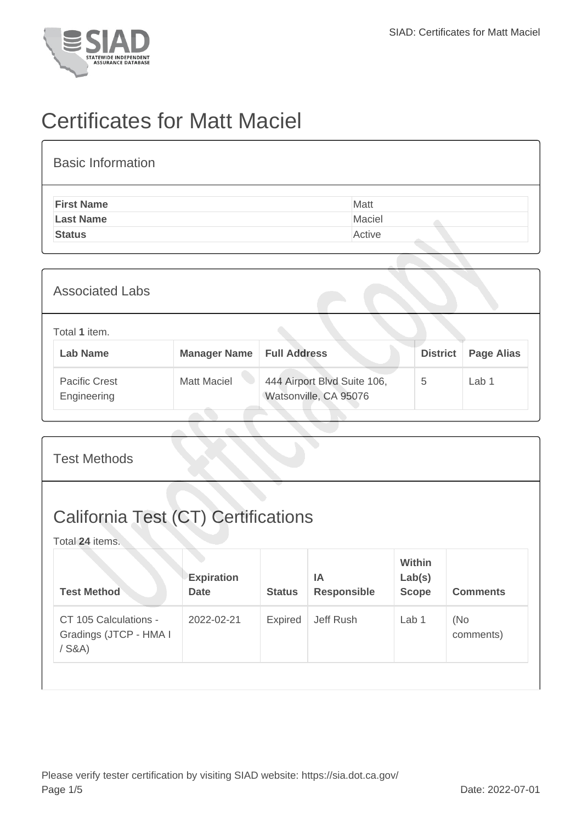

## Certificates for Matt Maciel

| <b>Basic Information</b> |        |
|--------------------------|--------|
| <b>First Name</b>        | Matt   |
| <b>Last Name</b>         | Maciel |
| <b>Status</b>            | Active |
|                          |        |

| <b>Associated Labs</b>              |                     |                                                      |                 |                   |
|-------------------------------------|---------------------|------------------------------------------------------|-----------------|-------------------|
| Total 1 item.<br><b>Lab Name</b>    | <b>Manager Name</b> | <b>Full Address</b>                                  | <b>District</b> | <b>Page Alias</b> |
| <b>Pacific Crest</b><br>Engineering | <b>Matt Maciel</b>  | 444 Airport Blvd Suite 106,<br>Watsonville, CA 95076 | 5               | Lab 1             |

| <b>Test Methods</b>                                           |                                  |                |                                 |                                         |                  |  |
|---------------------------------------------------------------|----------------------------------|----------------|---------------------------------|-----------------------------------------|------------------|--|
| <b>California Test (CT) Certifications</b><br>Total 24 items. |                                  |                |                                 |                                         |                  |  |
| <b>Test Method</b>                                            | <b>Expiration</b><br><b>Date</b> | <b>Status</b>  | <b>IA</b><br><b>Responsible</b> | <b>Within</b><br>Lab(s)<br><b>Scope</b> | <b>Comments</b>  |  |
| CT 105 Calculations -<br>Gradings (JTCP - HMA I<br>$/$ S&A)   | 2022-02-21                       | <b>Expired</b> | Jeff Rush                       | Lab 1                                   | (No<br>comments) |  |
|                                                               |                                  |                |                                 |                                         |                  |  |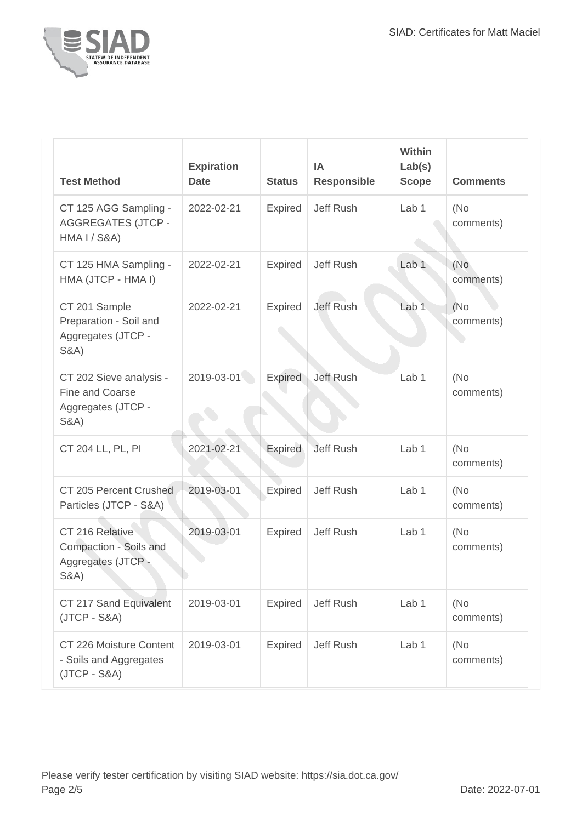

| <b>Test Method</b>                                                                  | <b>Expiration</b><br><b>Date</b> | <b>Status</b>  | <b>IA</b><br><b>Responsible</b> | Within<br>Lab(s)<br><b>Scope</b> | <b>Comments</b>   |
|-------------------------------------------------------------------------------------|----------------------------------|----------------|---------------------------------|----------------------------------|-------------------|
| CT 125 AGG Sampling -<br><b>AGGREGATES (JTCP -</b><br><b>HMA I / S&amp;A)</b>       | 2022-02-21                       | <b>Expired</b> | Jeff Rush                       | Lab 1                            | (No<br>comments)  |
| CT 125 HMA Sampling -<br>HMA (JTCP - HMA I)                                         | 2022-02-21                       | <b>Expired</b> | Jeff Rush                       | Lab <sub>1</sub>                 | (No<br>comments)  |
| CT 201 Sample<br>Preparation - Soil and<br>Aggregates (JTCP -<br><b>S&amp;A)</b>    | 2022-02-21                       | <b>Expired</b> | Jeff Rush                       | Lab <sub>1</sub>                 | (No)<br>comments) |
| CT 202 Sieve analysis -<br>Fine and Coarse<br>Aggregates (JTCP -<br><b>S&amp;A)</b> | 2019-03-01                       | Expired        | Jeff Rush                       | Lab <sub>1</sub>                 | (No<br>comments)  |
| CT 204 LL, PL, PI                                                                   | 2021-02-21                       | <b>Expired</b> | <b>Jeff Rush</b>                | Lab <sub>1</sub>                 | (No<br>comments)  |
| CT 205 Percent Crushed<br>Particles (JTCP - S&A)                                    | 2019-03-01                       | <b>Expired</b> | Jeff Rush                       | Lab <sub>1</sub>                 | (No<br>comments)  |
| CT 216 Relative<br>Compaction - Soils and<br>Aggregates (JTCP -<br>S&A)             | 2019-03-01                       | <b>Expired</b> | Jeff Rush                       | Lab <sub>1</sub>                 | (No<br>comments)  |
| CT 217 Sand Equivalent<br>$(JTCP - S&A)$                                            | 2019-03-01                       | <b>Expired</b> | Jeff Rush                       | Lab 1                            | (No<br>comments)  |
| CT 226 Moisture Content<br>- Soils and Aggregates<br>$(JTCP - S&A)$                 | 2019-03-01                       | <b>Expired</b> | Jeff Rush                       | Lab 1                            | (No)<br>comments) |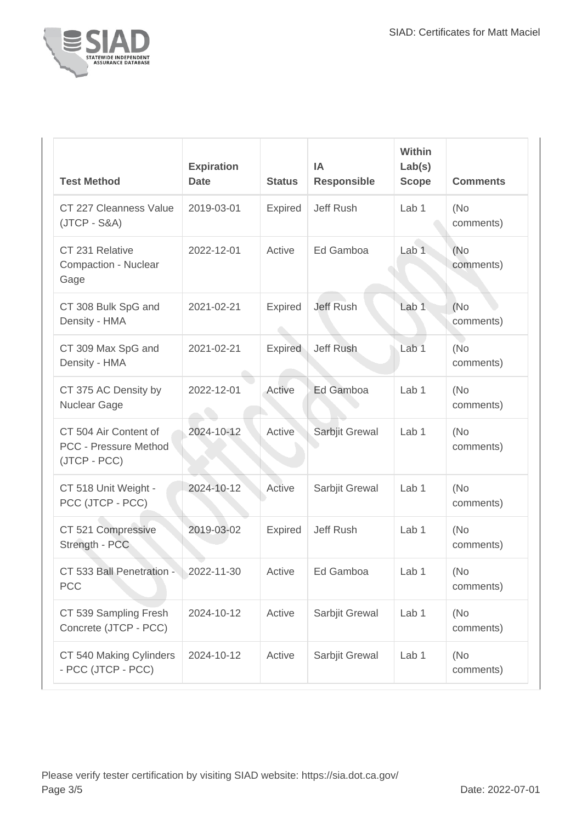

| <b>Test Method</b>                                             | <b>Expiration</b><br><b>Date</b> | <b>Status</b>  | IA<br><b>Responsible</b> | <b>Within</b><br>Lab(s)<br><b>Scope</b> | <b>Comments</b>   |
|----------------------------------------------------------------|----------------------------------|----------------|--------------------------|-----------------------------------------|-------------------|
| CT 227 Cleanness Value<br>$(JTCP - S&A)$                       | 2019-03-01                       | <b>Expired</b> | Jeff Rush                | Lab <sub>1</sub>                        | (No<br>comments)  |
| CT 231 Relative<br>Compaction - Nuclear<br>Gage                | 2022-12-01                       | Active         | Ed Gamboa                | Lab <sub>1</sub>                        | (No<br>comments)  |
| CT 308 Bulk SpG and<br>Density - HMA                           | 2021-02-21                       | <b>Expired</b> | <b>Jeff Rush</b>         | Lab <sub>1</sub>                        | (No<br>comments)  |
| CT 309 Max SpG and<br>Density - HMA                            | 2021-02-21                       | <b>Expired</b> | <b>Jeff Rush</b>         | Lab <sub>1</sub>                        | (No)<br>comments) |
| CT 375 AC Density by<br>Nuclear Gage                           | 2022-12-01                       | Active         | Ed Gamboa                | Lab 1                                   | (No<br>comments)  |
| CT 504 Air Content of<br>PCC - Pressure Method<br>(JTCP - PCC) | 2024-10-12                       | Active         | Sarbjit Grewal           | Lab 1                                   | (No)<br>comments) |
| CT 518 Unit Weight -<br>PCC (JTCP - PCC)                       | 2024-10-12                       | Active         | Sarbjit Grewal           | Lab <sub>1</sub>                        | (No<br>comments)  |
| CT 521 Compressive<br>Strength - PCC                           | 2019-03-02                       | <b>Expired</b> | <b>Jeff Rush</b>         | Lab <sub>1</sub>                        | (No<br>comments)  |
| CT 533 Ball Penetration -<br><b>PCC</b>                        | 2022-11-30                       | Active         | Ed Gamboa                | Lab $1$                                 | (No<br>comments)  |
| CT 539 Sampling Fresh<br>Concrete (JTCP - PCC)                 | 2024-10-12                       | Active         | Sarbjit Grewal           | Lab <sub>1</sub>                        | (No)<br>comments) |
| CT 540 Making Cylinders<br>- PCC (JTCP - PCC)                  | 2024-10-12                       | Active         | Sarbjit Grewal           | Lab 1                                   | (No)<br>comments) |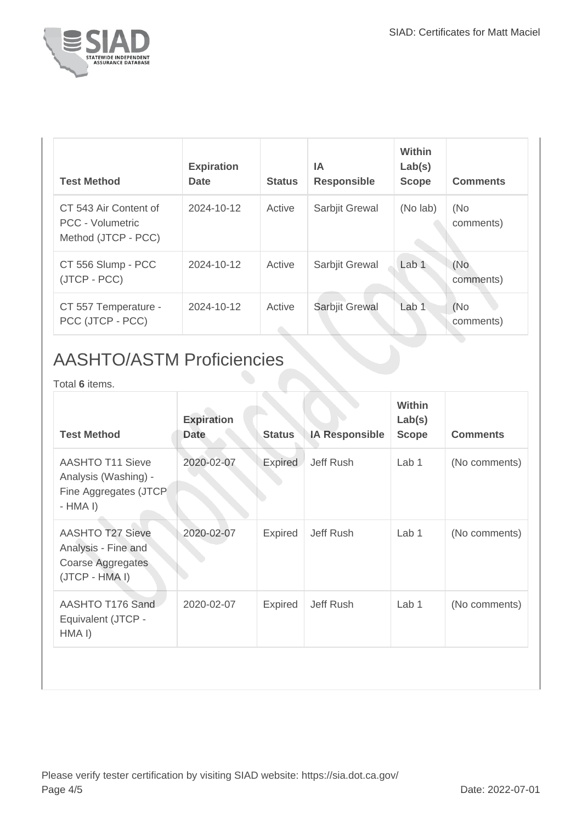

| <b>Test Method</b>                                               | <b>Expiration</b><br><b>Date</b> | <b>Status</b> | ΙA<br><b>Responsible</b> | Within<br>Lab(s)<br><b>Scope</b> | <b>Comments</b>  |
|------------------------------------------------------------------|----------------------------------|---------------|--------------------------|----------------------------------|------------------|
| CT 543 Air Content of<br>PCC - Volumetric<br>Method (JTCP - PCC) | 2024-10-12                       | Active        | Sarbjit Grewal           | (No lab)                         | (No<br>comments) |
| CT 556 Slump - PCC<br>(JTCP - PCC)                               | 2024-10-12                       | Active        | Sarbjit Grewal           | Lab <sub>1</sub>                 | (No<br>comments) |
| CT 557 Temperature -<br>PCC (JTCP - PCC)                         | 2024-10-12                       | Active        | Sarbjit Grewal           | Lab <sub>1</sub>                 | (No<br>comments) |

## AASHTO/ASTM Proficiencies

Total **6** items.

| <b>Test Method</b>                                                                    | <b>Expiration</b><br><b>Date</b> | <b>Status</b>  | <b>IA Responsible</b> | Within<br>Lab(s)<br><b>Scope</b> | <b>Comments</b> |
|---------------------------------------------------------------------------------------|----------------------------------|----------------|-----------------------|----------------------------------|-----------------|
| <b>AASHTO T11 Sieve</b><br>Analysis (Washing) -<br>Fine Aggregates (JTCP<br>$-HMA I$  | 2020-02-07                       | Expired        | Jeff Rush             | Lab 1                            | (No comments)   |
| <b>AASHTO T27 Sieve</b><br>Analysis - Fine and<br>Coarse Aggregates<br>(JTCP - HMA I) | 2020-02-07                       | <b>Expired</b> | Jeff Rush             | Lab 1                            | (No comments)   |
| AASHTO T176 Sand<br>Equivalent (JTCP -<br>HMA <sub>I</sub> )                          | 2020-02-07                       | <b>Expired</b> | Jeff Rush             | Lab 1                            | (No comments)   |